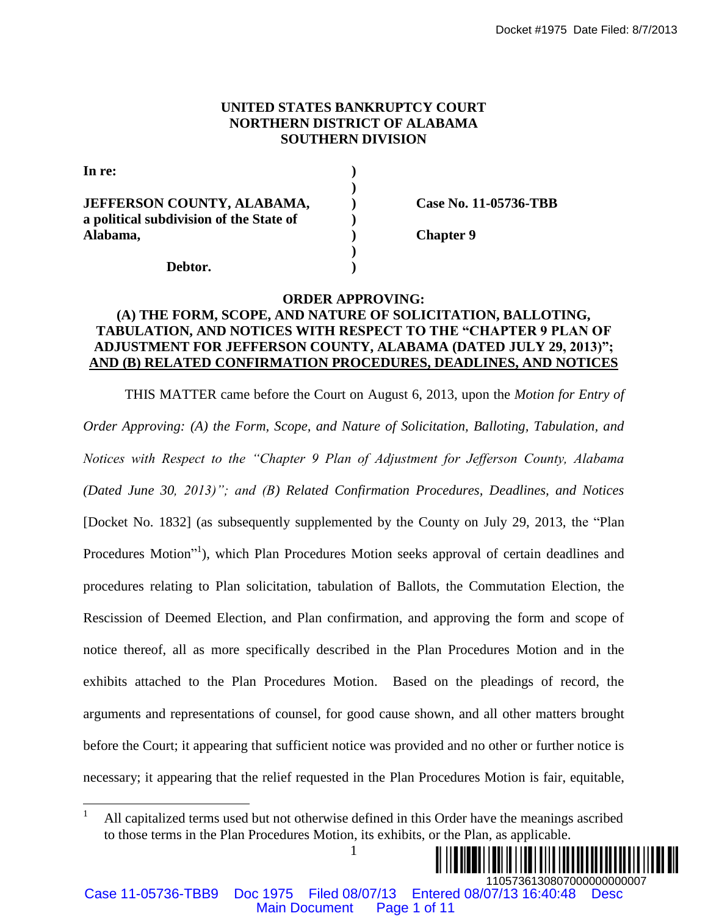## **UNITED STATES BANKRUPTCY COURT NORTHERN DISTRICT OF ALABAMA SOUTHERN DIVISION**

| In re:                                                                       |                       |
|------------------------------------------------------------------------------|-----------------------|
| <b>JEFFERSON COUNTY, ALABAMA,</b><br>a political subdivision of the State of | Case No. 11-05736-TBB |
| Alabama,                                                                     | <b>Chapter 9</b>      |
| Debtor.                                                                      |                       |

### **ORDER APPROVING:**

## **(A) THE FORM, SCOPE, AND NATURE OF SOLICITATION, BALLOTING, TABULATION, AND NOTICES WITH RESPECT TO THE "CHAPTER 9 PLAN OF ADJUSTMENT FOR JEFFERSON COUNTY, ALABAMA (DATED JULY 29, 2013)"; AND (B) RELATED CONFIRMATION PROCEDURES, DEADLINES, AND NOTICES**

THIS MATTER came before the Court on August 6, 2013, upon the *Motion for Entry of Order Approving: (A) the Form, Scope, and Nature of Solicitation, Balloting, Tabulation, and Notices with Respect to the "Chapter 9 Plan of Adjustment for Jefferson County, Alabama (Dated June 30, 2013)"; and (B) Related Confirmation Procedures, Deadlines, and Notices*  [Docket No. 1832] (as subsequently supplemented by the County on July 29, 2013, the "Plan Procedures Motion"<sup>1</sup>), which Plan Procedures Motion seeks approval of certain deadlines and procedures relating to Plan solicitation, tabulation of Ballots, the Commutation Election, the Rescission of Deemed Election, and Plan confirmation, and approving the form and scope of notice thereof, all as more specifically described in the Plan Procedures Motion and in the exhibits attached to the Plan Procedures Motion. Based on the pleadings of record, the arguments and representations of counsel, for good cause shown, and all other matters brought before the Court; it appearing that sufficient notice was provided and no other or further notice is necessary; it appearing that the relief requested in the Plan Procedures Motion is fair, equitable, Docket #1975 Date Filed: 8/7/2013<br>
NET EXAMA SOUTHERN DISTRICT OF ALABANA<br>
SOUTHERN DISTRICT OF ALABANA<br>
(and the source Pape 1 on the September Page 1<br>
(b) Chapter 9<br>
(DIDER SPITH RESPECT TO THE CHAPTER DVI.NC,<br>
CROUNE A

<sup>1</sup> All capitalized terms used but not otherwise defined in this Order have the meanings ascribed to those terms in the Plan Procedures Motion, its exhibits, or the Plan, as applicable.



 $\overline{a}$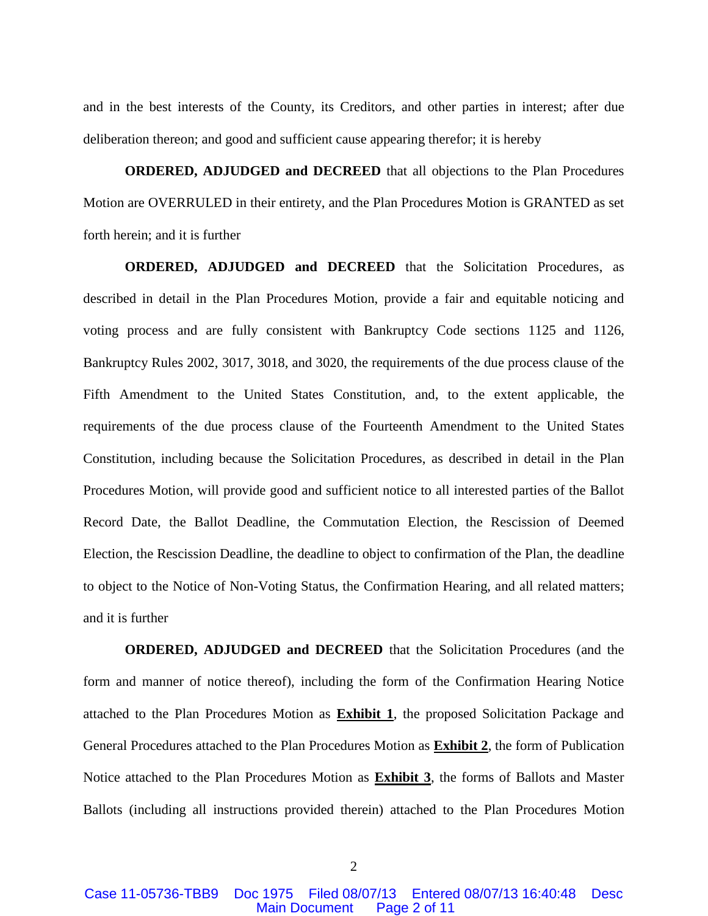and in the best interests of the County, its Creditors, and other parties in interest; after due deliberation thereon; and good and sufficient cause appearing therefor; it is hereby

**ORDERED, ADJUDGED and DECREED** that all objections to the Plan Procedures Motion are OVERRULED in their entirety, and the Plan Procedures Motion is GRANTED as set forth herein; and it is further

**ORDERED, ADJUDGED and DECREED** that the Solicitation Procedures, as described in detail in the Plan Procedures Motion, provide a fair and equitable noticing and voting process and are fully consistent with Bankruptcy Code sections 1125 and 1126, Bankruptcy Rules 2002, 3017, 3018, and 3020, the requirements of the due process clause of the Fifth Amendment to the United States Constitution, and, to the extent applicable, the requirements of the due process clause of the Fourteenth Amendment to the United States Constitution, including because the Solicitation Procedures, as described in detail in the Plan Procedures Motion, will provide good and sufficient notice to all interested parties of the Ballot Record Date, the Ballot Deadline, the Commutation Election, the Rescission of Deemed Election, the Rescission Deadline, the deadline to object to confirmation of the Plan, the deadline to object to the Notice of Non-Voting Status, the Confirmation Hearing, and all related matters; and it is further

**ORDERED, ADJUDGED and DECREED** that the Solicitation Procedures (and the form and manner of notice thereof), including the form of the Confirmation Hearing Notice attached to the Plan Procedures Motion as **Exhibit 1**, the proposed Solicitation Package and General Procedures attached to the Plan Procedures Motion as **Exhibit 2**, the form of Publication Notice attached to the Plan Procedures Motion as **Exhibit 3**, the forms of Ballots and Master Ballots (including all instructions provided therein) attached to the Plan Procedures Motion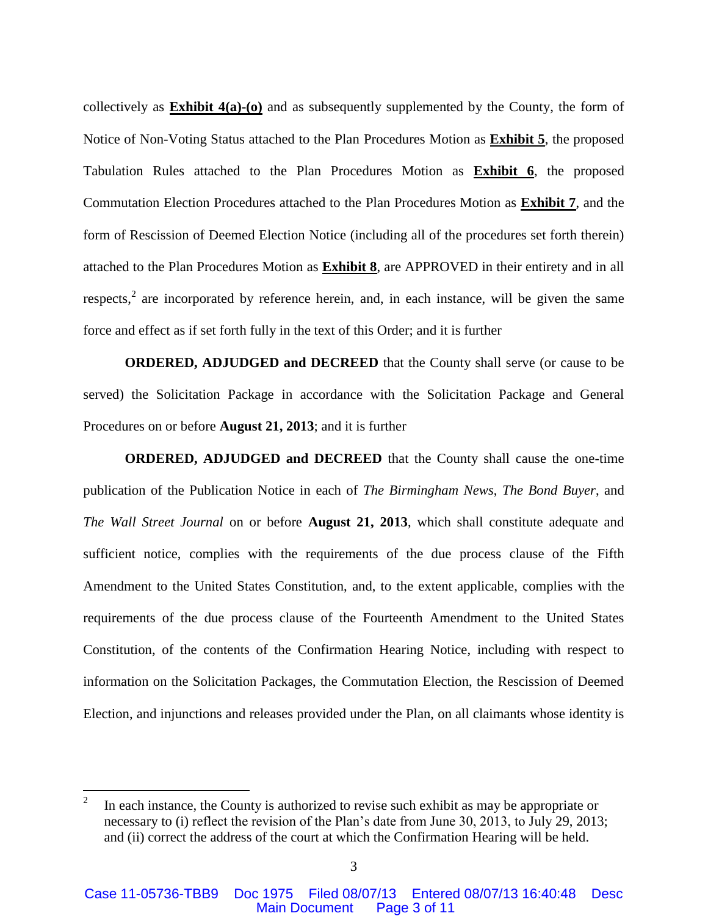collectively as **Exhibit 4(a)-(o)** and as subsequently supplemented by the County, the form of Notice of Non-Voting Status attached to the Plan Procedures Motion as **Exhibit 5**, the proposed Tabulation Rules attached to the Plan Procedures Motion as **Exhibit 6**, the proposed Commutation Election Procedures attached to the Plan Procedures Motion as **Exhibit 7**, and the form of Rescission of Deemed Election Notice (including all of the procedures set forth therein) attached to the Plan Procedures Motion as **Exhibit 8**, are APPROVED in their entirety and in all respects,<sup>2</sup> are incorporated by reference herein, and, in each instance, will be given the same force and effect as if set forth fully in the text of this Order; and it is further

**ORDERED, ADJUDGED and DECREED** that the County shall serve (or cause to be served) the Solicitation Package in accordance with the Solicitation Package and General Procedures on or before **August 21, 2013**; and it is further

**ORDERED, ADJUDGED and DECREED** that the County shall cause the one-time publication of the Publication Notice in each of *The Birmingham News*, *The Bond Buyer*, and *The Wall Street Journal* on or before **August 21, 2013**, which shall constitute adequate and sufficient notice, complies with the requirements of the due process clause of the Fifth Amendment to the United States Constitution, and, to the extent applicable, complies with the requirements of the due process clause of the Fourteenth Amendment to the United States Constitution, of the contents of the Confirmation Hearing Notice, including with respect to information on the Solicitation Packages, the Commutation Election, the Rescission of Deemed Election, and injunctions and releases provided under the Plan, on all claimants whose identity is

 $\overline{a}$ 

<sup>2</sup> In each instance, the County is authorized to revise such exhibit as may be appropriate or necessary to (i) reflect the revision of the Plan's date from June 30, 2013, to July 29, 2013; and (ii) correct the address of the court at which the Confirmation Hearing will be held.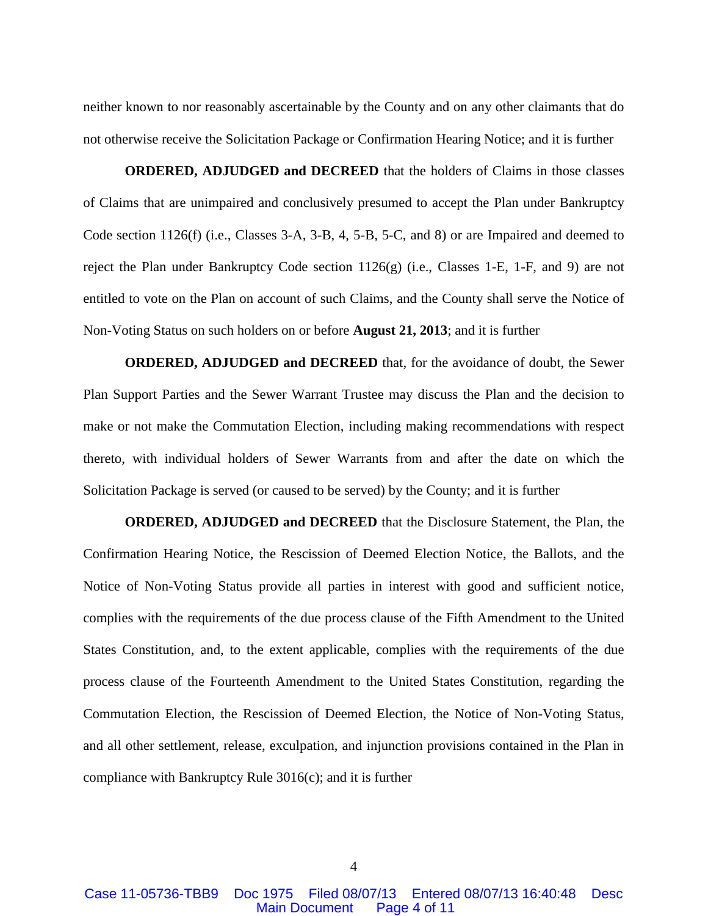neither known to nor reasonably ascertainable by the County and on any other claimants that do not otherwise receive the Solicitation Package or Confirmation Hearing Notice; and it is further

**ORDERED, ADJUDGED and DECREED** that the holders of Claims in those classes of Claims that are unimpaired and conclusively presumed to accept the Plan under Bankruptcy Code section 1126(f) (i.e., Classes 3-A, 3-B, 4, 5-B, 5-C, and 8) or are Impaired and deemed to reject the Plan under Bankruptcy Code section 1126(g) (i.e., Classes 1-E, 1-F, and 9) are not entitled to vote on the Plan on account of such Claims, and the County shall serve the Notice of Non-Voting Status on such holders on or before **August 21, 2013**; and it is further

**ORDERED, ADJUDGED and DECREED** that, for the avoidance of doubt, the Sewer Plan Support Parties and the Sewer Warrant Trustee may discuss the Plan and the decision to make or not make the Commutation Election, including making recommendations with respect thereto, with individual holders of Sewer Warrants from and after the date on which the Solicitation Package is served (or caused to be served) by the County; and it is further

**ORDERED, ADJUDGED and DECREED** that the Disclosure Statement, the Plan, the Confirmation Hearing Notice, the Rescission of Deemed Election Notice, the Ballots, and the Notice of Non-Voting Status provide all parties in interest with good and sufficient notice, complies with the requirements of the due process clause of the Fifth Amendment to the United States Constitution, and, to the extent applicable, complies with the requirements of the due process clause of the Fourteenth Amendment to the United States Constitution, regarding the Commutation Election, the Rescission of Deemed Election, the Notice of Non-Voting Status, and all other settlement, release, exculpation, and injunction provisions contained in the Plan in compliance with Bankruptcy Rule 3016(c); and it is further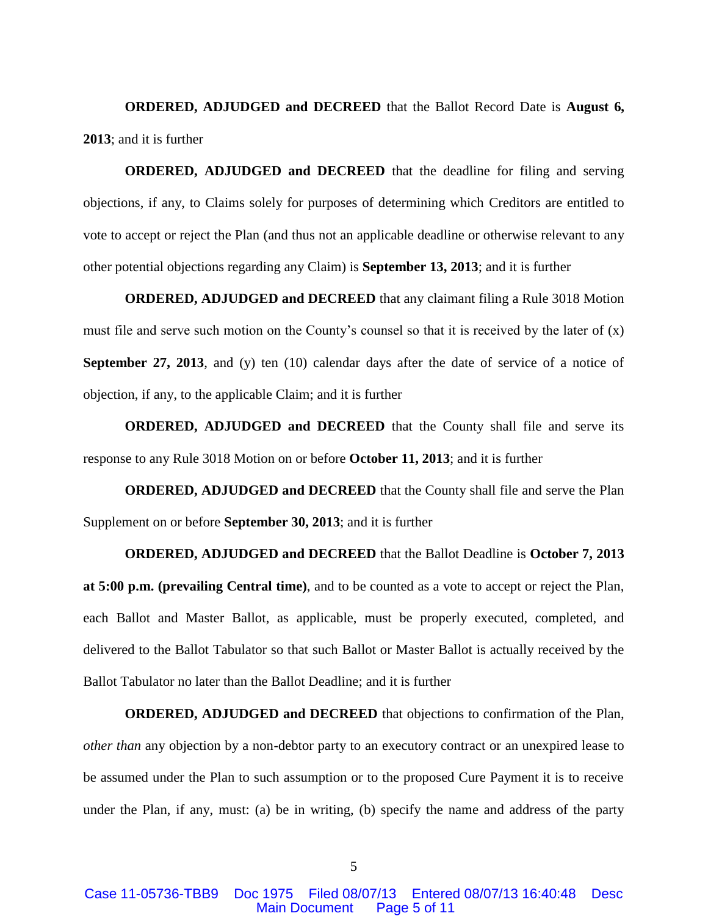**ORDERED, ADJUDGED and DECREED** that the Ballot Record Date is **August 6, 2013**; and it is further

**ORDERED, ADJUDGED and DECREED** that the deadline for filing and serving objections, if any, to Claims solely for purposes of determining which Creditors are entitled to vote to accept or reject the Plan (and thus not an applicable deadline or otherwise relevant to any other potential objections regarding any Claim) is **September 13, 2013**; and it is further

**ORDERED, ADJUDGED and DECREED** that any claimant filing a Rule 3018 Motion must file and serve such motion on the County's counsel so that it is received by the later of (x) **September 27, 2013**, and (y) ten (10) calendar days after the date of service of a notice of objection, if any, to the applicable Claim; and it is further

**ORDERED, ADJUDGED and DECREED** that the County shall file and serve its response to any Rule 3018 Motion on or before **October 11, 2013**; and it is further

**ORDERED, ADJUDGED and DECREED** that the County shall file and serve the Plan Supplement on or before **September 30, 2013**; and it is further

**ORDERED, ADJUDGED and DECREED** that the Ballot Deadline is **October 7, 2013 at 5:00 p.m. (prevailing Central time)**, and to be counted as a vote to accept or reject the Plan, each Ballot and Master Ballot, as applicable, must be properly executed, completed, and delivered to the Ballot Tabulator so that such Ballot or Master Ballot is actually received by the Ballot Tabulator no later than the Ballot Deadline; and it is further

**ORDERED, ADJUDGED and DECREED** that objections to confirmation of the Plan, *other than* any objection by a non-debtor party to an executory contract or an unexpired lease to be assumed under the Plan to such assumption or to the proposed Cure Payment it is to receive under the Plan, if any, must: (a) be in writing, (b) specify the name and address of the party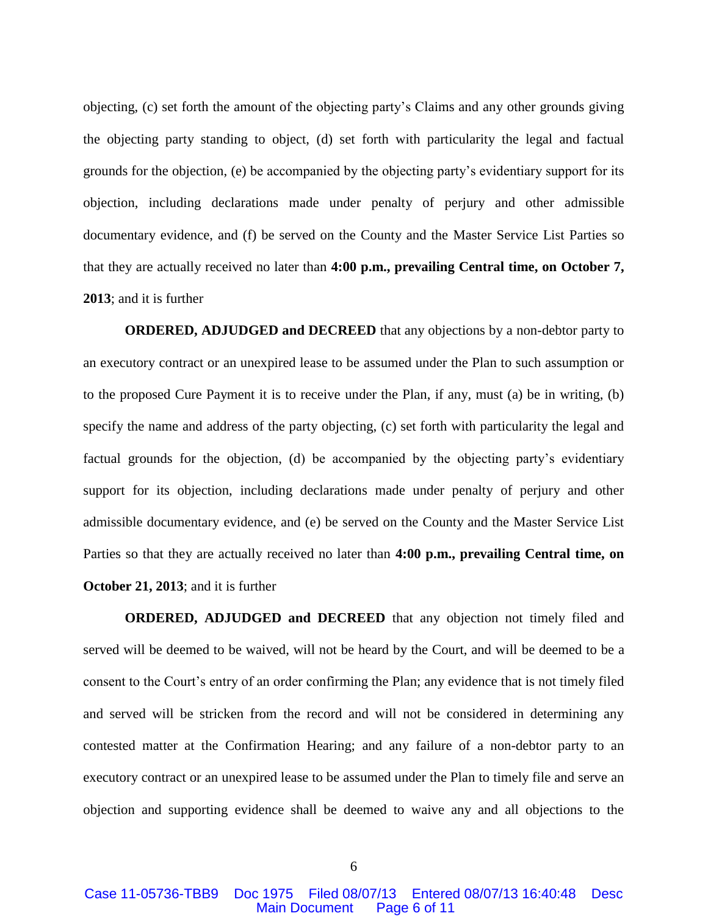objecting, (c) set forth the amount of the objecting party's Claims and any other grounds giving the objecting party standing to object, (d) set forth with particularity the legal and factual grounds for the objection, (e) be accompanied by the objecting party's evidentiary support for its objection, including declarations made under penalty of perjury and other admissible documentary evidence, and (f) be served on the County and the Master Service List Parties so that they are actually received no later than **4:00 p.m., prevailing Central time, on October 7, 2013**; and it is further

**ORDERED, ADJUDGED and DECREED** that any objections by a non-debtor party to an executory contract or an unexpired lease to be assumed under the Plan to such assumption or to the proposed Cure Payment it is to receive under the Plan, if any, must (a) be in writing, (b) specify the name and address of the party objecting, (c) set forth with particularity the legal and factual grounds for the objection, (d) be accompanied by the objecting party's evidentiary support for its objection, including declarations made under penalty of perjury and other admissible documentary evidence, and (e) be served on the County and the Master Service List Parties so that they are actually received no later than **4:00 p.m., prevailing Central time, on October 21, 2013**; and it is further

**ORDERED, ADJUDGED and DECREED** that any objection not timely filed and served will be deemed to be waived, will not be heard by the Court, and will be deemed to be a consent to the Court's entry of an order confirming the Plan; any evidence that is not timely filed and served will be stricken from the record and will not be considered in determining any contested matter at the Confirmation Hearing; and any failure of a non-debtor party to an executory contract or an unexpired lease to be assumed under the Plan to timely file and serve an objection and supporting evidence shall be deemed to waive any and all objections to the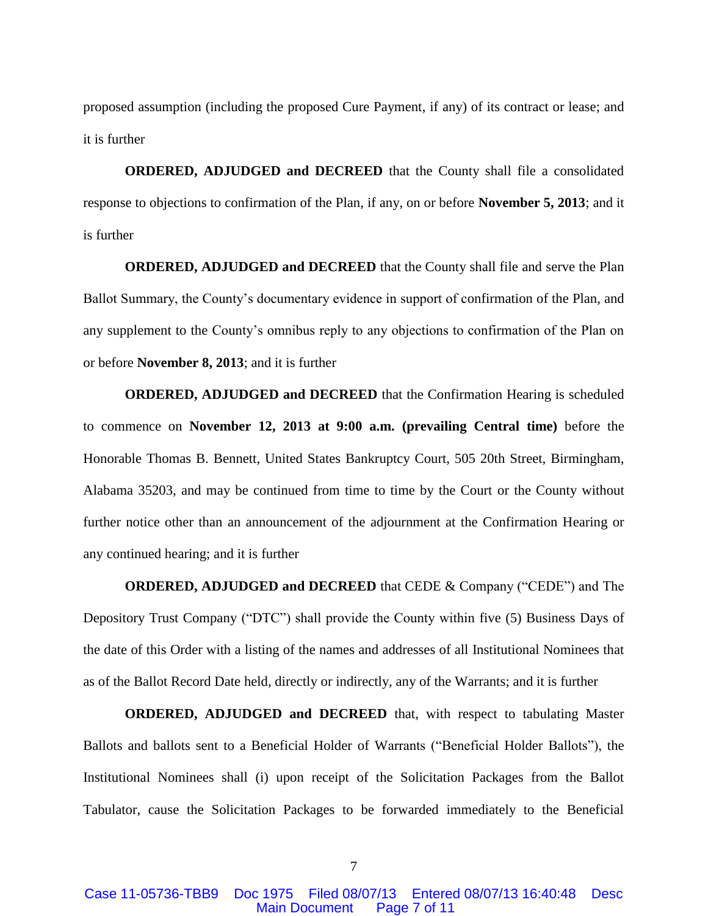proposed assumption (including the proposed Cure Payment, if any) of its contract or lease; and it is further

**ORDERED, ADJUDGED and DECREED** that the County shall file a consolidated response to objections to confirmation of the Plan, if any, on or before **November 5, 2013**; and it is further

**ORDERED, ADJUDGED and DECREED** that the County shall file and serve the Plan Ballot Summary, the County's documentary evidence in support of confirmation of the Plan, and any supplement to the County's omnibus reply to any objections to confirmation of the Plan on or before **November 8, 2013**; and it is further

**ORDERED, ADJUDGED and DECREED** that the Confirmation Hearing is scheduled to commence on **November 12, 2013 at 9:00 a.m. (prevailing Central time)** before the Honorable Thomas B. Bennett, United States Bankruptcy Court, 505 20th Street, Birmingham, Alabama 35203, and may be continued from time to time by the Court or the County without further notice other than an announcement of the adjournment at the Confirmation Hearing or any continued hearing; and it is further

**ORDERED, ADJUDGED and DECREED** that CEDE & Company ("CEDE") and The Depository Trust Company ("DTC") shall provide the County within five (5) Business Days of the date of this Order with a listing of the names and addresses of all Institutional Nominees that as of the Ballot Record Date held, directly or indirectly, any of the Warrants; and it is further

**ORDERED, ADJUDGED and DECREED** that, with respect to tabulating Master Ballots and ballots sent to a Beneficial Holder of Warrants ("Beneficial Holder Ballots"), the Institutional Nominees shall (i) upon receipt of the Solicitation Packages from the Ballot Tabulator, cause the Solicitation Packages to be forwarded immediately to the Beneficial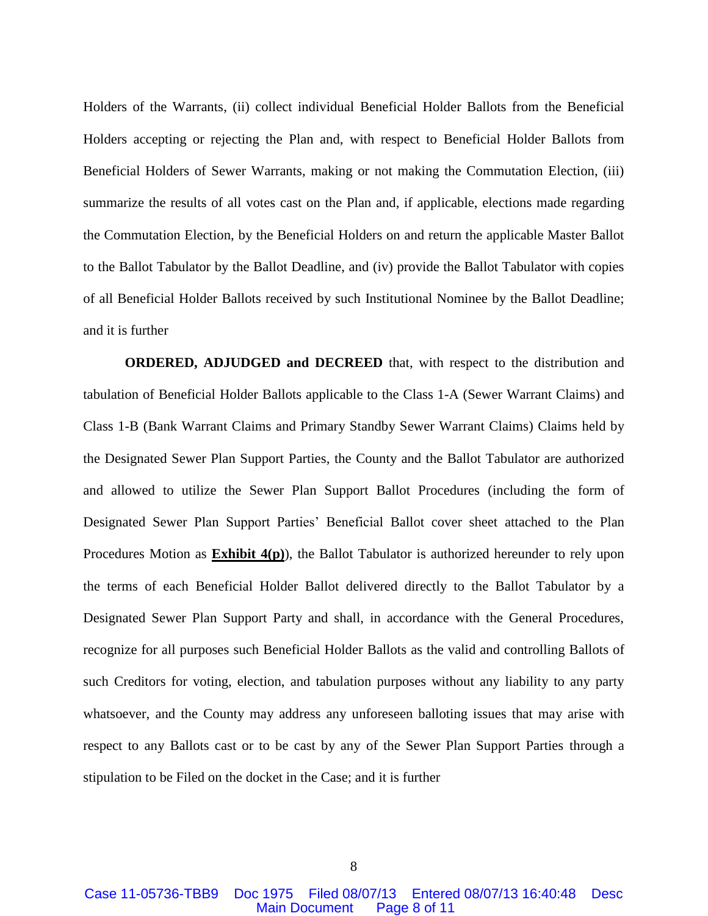Holders of the Warrants, (ii) collect individual Beneficial Holder Ballots from the Beneficial Holders accepting or rejecting the Plan and, with respect to Beneficial Holder Ballots from Beneficial Holders of Sewer Warrants, making or not making the Commutation Election, (iii) summarize the results of all votes cast on the Plan and, if applicable, elections made regarding the Commutation Election, by the Beneficial Holders on and return the applicable Master Ballot to the Ballot Tabulator by the Ballot Deadline, and (iv) provide the Ballot Tabulator with copies of all Beneficial Holder Ballots received by such Institutional Nominee by the Ballot Deadline; and it is further

**ORDERED, ADJUDGED and DECREED** that, with respect to the distribution and tabulation of Beneficial Holder Ballots applicable to the Class 1-A (Sewer Warrant Claims) and Class 1-B (Bank Warrant Claims and Primary Standby Sewer Warrant Claims) Claims held by the Designated Sewer Plan Support Parties, the County and the Ballot Tabulator are authorized and allowed to utilize the Sewer Plan Support Ballot Procedures (including the form of Designated Sewer Plan Support Parties' Beneficial Ballot cover sheet attached to the Plan Procedures Motion as **Exhibit 4(p)**), the Ballot Tabulator is authorized hereunder to rely upon the terms of each Beneficial Holder Ballot delivered directly to the Ballot Tabulator by a Designated Sewer Plan Support Party and shall, in accordance with the General Procedures, recognize for all purposes such Beneficial Holder Ballots as the valid and controlling Ballots of such Creditors for voting, election, and tabulation purposes without any liability to any party whatsoever, and the County may address any unforeseen balloting issues that may arise with respect to any Ballots cast or to be cast by any of the Sewer Plan Support Parties through a stipulation to be Filed on the docket in the Case; and it is further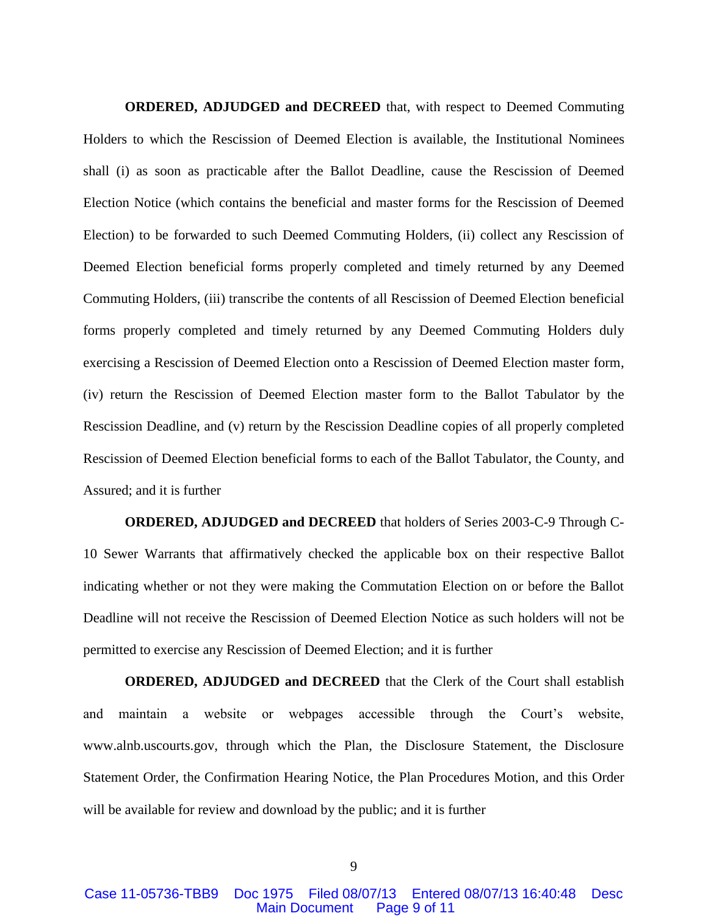**ORDERED, ADJUDGED and DECREED** that, with respect to Deemed Commuting Holders to which the Rescission of Deemed Election is available, the Institutional Nominees shall (i) as soon as practicable after the Ballot Deadline, cause the Rescission of Deemed Election Notice (which contains the beneficial and master forms for the Rescission of Deemed Election) to be forwarded to such Deemed Commuting Holders, (ii) collect any Rescission of Deemed Election beneficial forms properly completed and timely returned by any Deemed Commuting Holders, (iii) transcribe the contents of all Rescission of Deemed Election beneficial forms properly completed and timely returned by any Deemed Commuting Holders duly exercising a Rescission of Deemed Election onto a Rescission of Deemed Election master form, (iv) return the Rescission of Deemed Election master form to the Ballot Tabulator by the Rescission Deadline, and (v) return by the Rescission Deadline copies of all properly completed Rescission of Deemed Election beneficial forms to each of the Ballot Tabulator, the County, and Assured; and it is further

**ORDERED, ADJUDGED and DECREED** that holders of Series 2003-C-9 Through C-10 Sewer Warrants that affirmatively checked the applicable box on their respective Ballot indicating whether or not they were making the Commutation Election on or before the Ballot Deadline will not receive the Rescission of Deemed Election Notice as such holders will not be permitted to exercise any Rescission of Deemed Election; and it is further

**ORDERED, ADJUDGED and DECREED** that the Clerk of the Court shall establish and maintain a website or webpages accessible through the Court's website, www.alnb.uscourts.gov, through which the Plan, the Disclosure Statement, the Disclosure Statement Order, the Confirmation Hearing Notice, the Plan Procedures Motion, and this Order will be available for review and download by the public; and it is further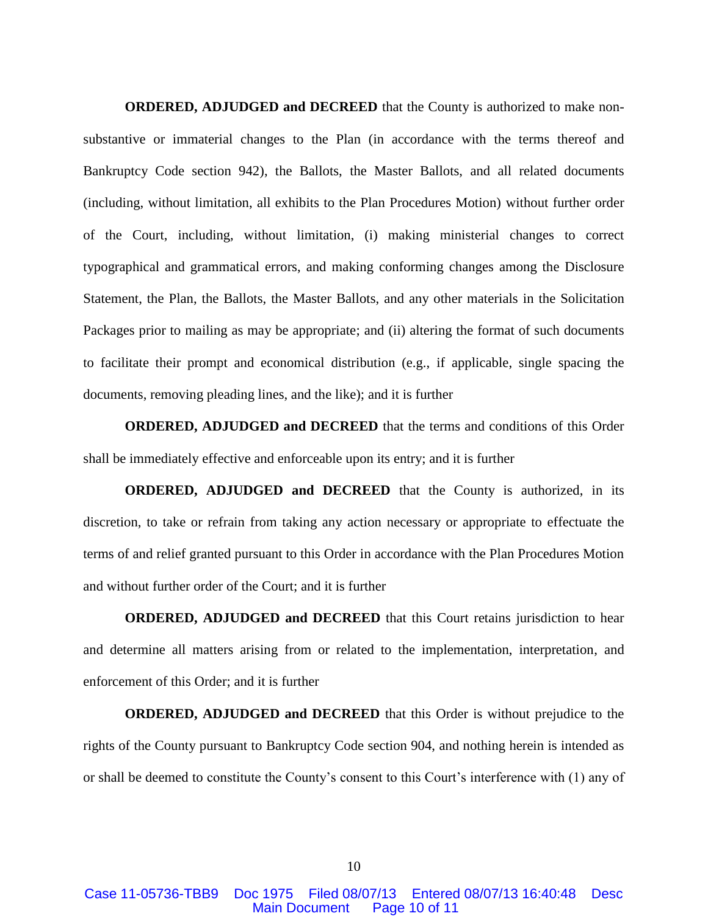**ORDERED, ADJUDGED and DECREED** that the County is authorized to make nonsubstantive or immaterial changes to the Plan (in accordance with the terms thereof and Bankruptcy Code section 942), the Ballots, the Master Ballots, and all related documents (including, without limitation, all exhibits to the Plan Procedures Motion) without further order of the Court, including, without limitation, (i) making ministerial changes to correct typographical and grammatical errors, and making conforming changes among the Disclosure Statement, the Plan, the Ballots, the Master Ballots, and any other materials in the Solicitation Packages prior to mailing as may be appropriate; and (ii) altering the format of such documents to facilitate their prompt and economical distribution (e.g., if applicable, single spacing the documents, removing pleading lines, and the like); and it is further

**ORDERED, ADJUDGED and DECREED** that the terms and conditions of this Order shall be immediately effective and enforceable upon its entry; and it is further

**ORDERED, ADJUDGED and DECREED** that the County is authorized, in its discretion, to take or refrain from taking any action necessary or appropriate to effectuate the terms of and relief granted pursuant to this Order in accordance with the Plan Procedures Motion and without further order of the Court; and it is further

**ORDERED, ADJUDGED and DECREED** that this Court retains jurisdiction to hear and determine all matters arising from or related to the implementation, interpretation, and enforcement of this Order; and it is further

**ORDERED, ADJUDGED and DECREED** that this Order is without prejudice to the rights of the County pursuant to Bankruptcy Code section 904, and nothing herein is intended as or shall be deemed to constitute the County's consent to this Court's interference with (1) any of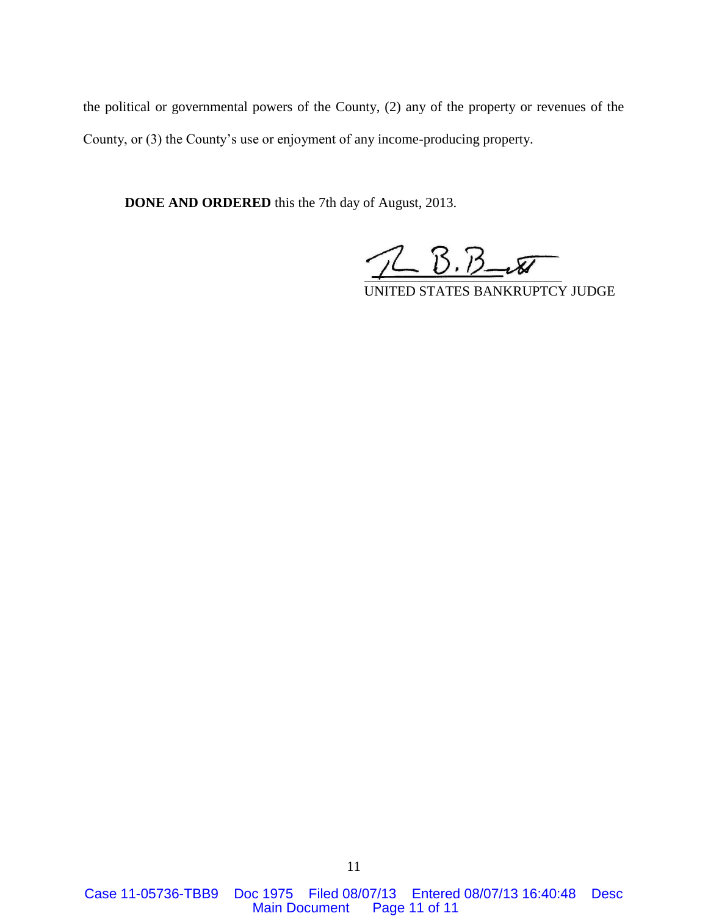the political or governmental powers of the County, (2) any of the property or revenues of the County, or (3) the County's use or enjoyment of any income-producing property.

**DONE AND ORDERED** this the 7th day of August, 2013.

 $7B. B-x$ 

UNITED STATES BANKRUPTCY JUDGE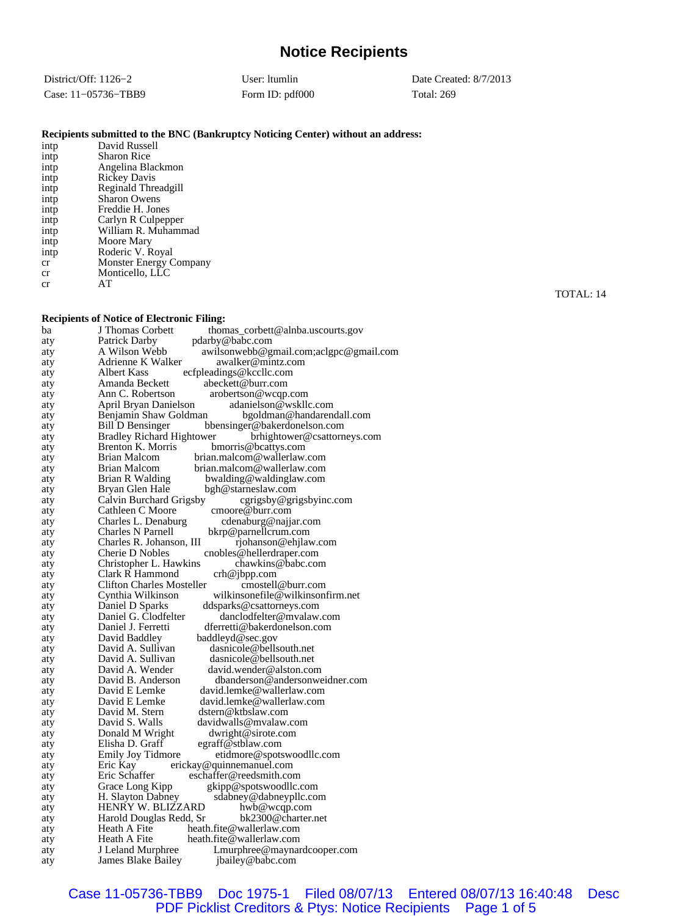# **Notice Recipients**

| District/Off: $1126-2$ | User: Itumlin   | Date Created: $8/7/2013$ |
|------------------------|-----------------|--------------------------|
| Case: 11-05736-TBB9    | Form ID: pdf000 | <b>Total: 269</b>        |

#### **Recipients submitted to the BNC (Bankruptcy Noticing Center) without an address:**

| intp | David Russell          |
|------|------------------------|
| intp | <b>Sharon Rice</b>     |
| intp | Angelina Blackmon      |
| intp | <b>Rickey Davis</b>    |
| intp | Reginald Threadgill    |
| intp | <b>Sharon Owens</b>    |
| intp | Freddie H. Jones       |
| intp | Carlyn R Culpepper     |
| intp | William R. Muhammad    |
| intp | Moore Mary             |
| intp | Roderic V. Royal       |
| cr   | Monster Energy Company |
| cr   | Monticello, LLC        |
| cr   | AТ                     |
|      |                        |

#### **Recipients of Notice of Electronic Filing:**

|            | receptents of Fouce of Electronic Finng.                                                                            |
|------------|---------------------------------------------------------------------------------------------------------------------|
| ba         | J Thomas Corbett<br>thomas_corbett@alnba.uscourts.gov                                                               |
| aty        | Patrick Darby<br>pdarby@babc.com                                                                                    |
| aty        | awilsonwebb@gmail.com;aclgpc@gmail.com<br>A Wilson Webb                                                             |
| aty        | Adrienne K Walker<br>awalker@mintz.com                                                                              |
| aty        | Albert Kass<br>ecfpleadings@kccllc.com                                                                              |
| aty        | Amanda Beckett<br>abeckett@burr.com                                                                                 |
| aty        | Ann C. Robertson<br>arobertson@wcqp.com                                                                             |
| aty        | April Bryan Danielson<br>adanielson@wskllc.com                                                                      |
| aty        | Benjamin Shaw Goldman<br>bgoldman@handarendall.com                                                                  |
| aty        | Bill D Bensinger<br>bbensinger@bakerdonelson.com<br><b>Bradley Richard Hightower</b><br>brhightower@csattorneys.com |
| aty        | Brenton K. Morris<br>bmorris@bcattys.com                                                                            |
| aty        | Brian Malcom<br>brian.malcom@wallerlaw.com                                                                          |
| aty        | Brian Malcom<br>brian.malcom@wallerlaw.com                                                                          |
| aty        | <b>Brian R Walding</b><br>bwalding@waldinglaw.com                                                                   |
| aty        |                                                                                                                     |
| aty        | Bryan Glen Hale<br>bgh@starneslaw.com                                                                               |
| aty        | Calvin Burchard Grigsby<br>cgrigsby@grigsbyinc.com<br>Cathleen C Moore<br>cmoore@burr.com                           |
| aty        | Charles L. Denaburg<br>cdenaburg@najjar.com                                                                         |
| aty        | Charles N Parnell<br>bkrp@parnellcrum.com                                                                           |
| aty<br>aty | Charles R. Johanson, III<br>rjohanson@ehjlaw.com                                                                    |
| aty        | Cherie D Nobles<br>cnobles@hellerdraper.com                                                                         |
| aty        | chawkins@babc.com<br>Christopher L. Hawkins                                                                         |
| aty        | Clark R Hammond<br>crh@jbpp.com                                                                                     |
| aty        | <b>Clifton Charles Mosteller</b><br>cmostell@burr.com                                                               |
| aty        | Cynthia Wilkinson<br>wilkinsonefile@wilkinsonfirm.net                                                               |
| aty        | Daniel D Sparks<br>ddsparks@csattorneys.com                                                                         |
| aty        | Daniel G. Clodfelter<br>danclodfelter@mvalaw.com                                                                    |
| aty        | Daniel J. Ferretti<br>dferretti@bakerdonelson.com                                                                   |
| aty        | David Baddley<br>baddleyd@sec.gov                                                                                   |
| aty        | David A. Sullivan<br>dasnicole@bellsouth.net                                                                        |
| aty        | David A. Sullivan<br>dasnicole@bellsouth.net                                                                        |
| aty        | David A. Wender<br>david.wender@alston.com                                                                          |
| aty        | David B. Anderson<br>dbanderson@andersonweidner.com                                                                 |
| aty        | David E Lemke<br>david.lemke@wallerlaw.com                                                                          |
| aty        | David E Lemke<br>david.lemke@wallerlaw.com                                                                          |
| aty        | David M. Stern<br>dstern@ktbslaw.com                                                                                |
| aty        | David S. Walls<br>davidwalls@mvalaw.com                                                                             |
| aty        | Donald M Wright<br>dwright@sirote.com                                                                               |
| aty        | Elisha D. Graff<br>egraff@stblaw.com                                                                                |
| aty        | <b>Emily Joy Tidmore</b><br>etidmore@spotswoodllc.com                                                               |
| aty        | Eric Kay<br>erickay@quinnemanuel.com                                                                                |
| aty        | Eric Schaffer<br>eschaffer@reedsmith.com                                                                            |
| aty        | Grace Long Kipp<br>gkipp@spotswoodllc.com                                                                           |
| aty        | H. Slayton Dabney<br>sdabney@dabneypllc.com                                                                         |
| aty        | HENRY W. BLIZZARD<br>hwb@wcqp.com                                                                                   |
| aty        | Harold Douglas Redd, Sr<br>bk2300@charter.net                                                                       |
| aty        | heath.fite@wallerlaw.com<br>Heath A Fite                                                                            |
| aty        | Heath A Fite<br>heath.fite@wallerlaw.com                                                                            |
| aty        | J Leland Murphree<br>Lmurphree@maynardcooper.com                                                                    |
| aty        | <b>James Blake Bailey</b><br>jbailey@babc.com                                                                       |

TOTAL: 14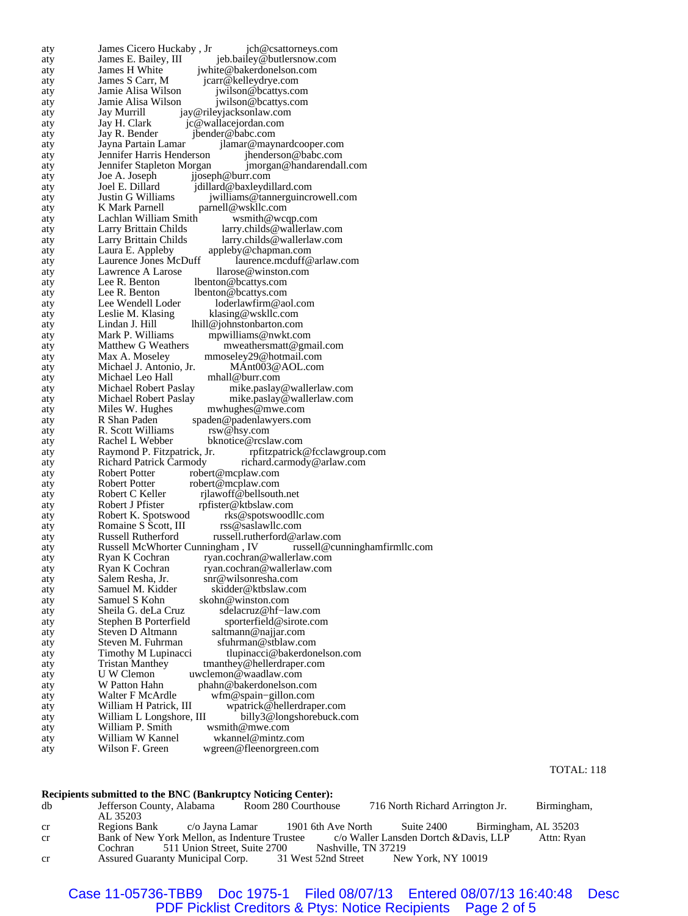aty James Cicero Huckaby , Jr jch@csattorneys.com aty James E. Bailey, III jeb.bailey@butlersnow.com<br>aty James H White invite@bakerdonelson.com aty James H White jwhite@bakerdonelson.com<br>aty James S Carr, M jcarr@kelleydrye.com aty James S Carr, M jcarr@kelleydrye.com<br>aty Jamie Alisa Wilson jwilson@bcattys.co aty Jamie Alisa Wilson jwilson@bcattys.com<br>aty Jamie Alisa Wilson jwilson@bcattys.com aty Jamie Alisa Wilson *jwilson@bcattys.com*<br>aty Jay Murrill jay@rileyjacksonlaw.com aty Jay Murrill jay@rileyjacksonlaw.com aty Jay H. Clark jc@wallacejordan.com<br>aty Jay R. Bender jbender@babc.com aty Jay R. Bender jbender@babc.com<br>aty Jayna Partain Lamar jlamar@may aty Jayna Partain Lamar jlamar@maynardcooper.com aty Jennifer Harris Henderson jhenderson@babc.com<br>aty Jennifer Stapleton Morgan jmorgan@handarendal aty Jennifer Stapleton Morgan jmorgan@handarendall.com<br>aty Joe A. Joseph ijoseph@burr.com aty Joe A. Joseph jjoseph@burr.com<br>aty Joel E. Dillard jdillard@baxleydi aty Joel E. Dillard jdillard@baxleydillard.com aty Justin G Williams jwilliams@tannerguincrowell.com<br>aty K Mark Parnell parnell@wskllc.com aty K Mark Parnell parnell@wskllc.com<br>aty Lachlan William Smith muslem was well-Lachlan William Smith wsmith@wcqp.com<br>Larry Brittain Childs larry.childs@wallerlav aty Larry Brittain Childs larry.childs@wallerlaw.com aty Larry Brittain Childs larry.childs@wallerlaw.com aty Laura E. Appleby appleby@chapman.com<br>aty Laurence Jones McDuff aurence.mcduff@ aty Laurence Jones McDuff laurence.mcduff@arlaw.com<br>aty Lawrence A Larose llarose@winston.com aty Lawrence A Larose llarose@winston.com aty Lee R. Benton lbenton@bcattys.com<br>aty Lee R. Benton lbenton@bcattys.com aty Lee R. Benton lbenton@bcattys.com<br>aty Lee Wendell Loder loderlawfirm@a aty Lee Wendell Loder loderlawfirm@aol.com<br>aty Leslie M. Klasing klasing@wskllc.com aty Leslie M. Klasing klasing@wskllc.com<br>atv Lindan J. Hill lhill@johnstonbarton.com aty Lindan J. Hill lhill@johnstonbarton.com<br>aty Mark P. Williams mpwilliams@nwkt.co aty Mark P. Williams mpwilliams@nwkt.com<br>aty Matthew G Weathers mweathersmatt@gm Matthew G Weathers mweathersmatt@gmail.com<br>Max A. Moseley mmoseley29@hotmail.com aty Max A. Moseley mmoseley29@hotmail.com<br>aty Michael J. Antonio, Jr. MAnt003@AOL.com Michael J. Antonio, Jr. aty Michael Leo Hall mhall@burr.com<br>aty Michael Robert Paslay mike.paslay aty Michael Robert Paslay mike.paslay@wallerlaw.com<br>
Michael Robert Paslay mike.paslay@wallerlaw.com aty Michael Robert Paslay mike.paslay@wallerlaw.com<br>aty Miles W. Hughes mwhughes@mwe.com mwhughes@mwe.com aty R Shan Paden spaden@padenlawyers.com<br>aty R. Scott Williams rsw@hsy.com aty R. Scott Williams aty Rachel L Webber bknotice@rcslaw.com<br>aty Raymond P. Fitzpatrick, Jr. pfitzpatrick aty Raymond P. Fitzpatrick, Jr. rpfitzpatrick@fcclawgroup.com<br>aty Richard Patrick Carmody richard.carmody@arlaw.com aty Richard Patrick Carmody richard.carmody@arlaw.com<br>aty Robert Potter robert@mcplaw.com aty Robert Potter robert@mcplaw.com aty Robert Potter robert @mcplaw.com<br>aty Robert C Keller rilawoff @bellsoutl Robert C Keller rijlawoff @bellsouth.net<br>Robert J Pfister rpfister @ktbslaw.com aty Robert J Pfister rpfister@ktbslaw.com<br>aty Robert K. Spotswood rks@spotswood aty Robert K. Spotswood rks@spotswoodllc.com<br>aty Romaine S Scott, III rss@saslawllc.com aty Romaine S Scott, III aty Russell Rutherford russell.rutherford@arlaw.com<br>aty Russell McWhorter Cunningham, IV russell@cunninghamfirmllc.com aty Russell McWhorter Cunningham , IV russell McWhorter Cunningham , IV russell McWhorter Cunningham aty Ryan K Cochran ryan.cochran@wallerlaw.com<br>aty Ryan K Cochran ryan.cochran@wallerlaw.com aty Ryan K Cochran ryan.cochran@wallerlaw.com aty Salem Resha, Jr. snr@wilsonresha.com<br>aty Samuel M. Kidder skidder@ktbslaw.co aty Samuel M. Kidder skidder@ktbslaw.com aty Samuel S Kohn skohn@winston.com<br>aty Sheila G. deLa Cruz sdelacruz@hf-la aty Sheila G. deLa Cruz sdelacruz@hf−law.com aty Stephen B Porterfield sporterfield@sirote.com<br>aty Steven D Altmann saltmann@najjar.com aty Steven D Altmann saltmann@najjar.com aty Steven M. Fuhrman sfuhrman@stblaw.com<br>aty Timothy M Lupinacci tlupinacci@bakerdor tlupinacci@bakerdonelson.com aty Tristan Manthey tmanthey@hellerdraper.com<br>aty UW Clemon uwclemon@waadlaw.com aty U W Clemon uwclemon@waadlaw.com<br>aty W Patton Hahn phahn@bakerdonelson.c aty W Patton Hahn phahn@bakerdonelson.com<br>aty Walter F McArdle wfm@spain-gillon.com aty Walter F McArdle wfm@spain−gillon.com aty William H Patrick, III wpatrick@hellerdraper.com<br>aty William L Longshore, III billy3@longshorebuck.com aty William L Longshore, III billy3@longshorebuck.com<br>atv William P. Smith wsmith@mwe.com aty William P. Smith wsmith@mwe.com<br>aty William W Kannel wkannel@mintz.c aty William W Kannel wkannel@mintz.com<br>aty Wilson F. Green wgreen@fleenorgreen.c aty Wilson F. Green wgreen@fleenorgreen.com

#### **Recipients submitted to the BNC (Bankruptcy Noticing Center):**

| db | Jefferson County, Alabama<br>AL 35203 |                                                      | Room 280 Courthouse | 716 North Richard Arrington Jr.        |                      | Birmingham, |
|----|---------------------------------------|------------------------------------------------------|---------------------|----------------------------------------|----------------------|-------------|
| cr | Regions Bank                          | c/o Jayna Lamar                                      | 1901 6th Ave North  | Suite 2400                             | Birmingham, AL 35203 |             |
| cr |                                       | Bank of New York Mellon, as Indenture Trustee        |                     | c/o Waller Lansden Dortch & Davis, LLP |                      | Attn: Ryan  |
|    |                                       | Cochran 511 Union Street, Suite 2700                 |                     | Nashville, TN 37219                    |                      |             |
| cr |                                       | Assured Guaranty Municipal Corp. 31 West 52nd Street |                     | New York, NY 10019                     |                      |             |

#### Case 11-05736-TBB9 Doc 1975-1 Filed 08/07/13 Entered 08/07/13 16:40:48 Desc PDF Picklist Creditors & Ptys: Notice Recipients Page 2 of 5

TOTAL: 118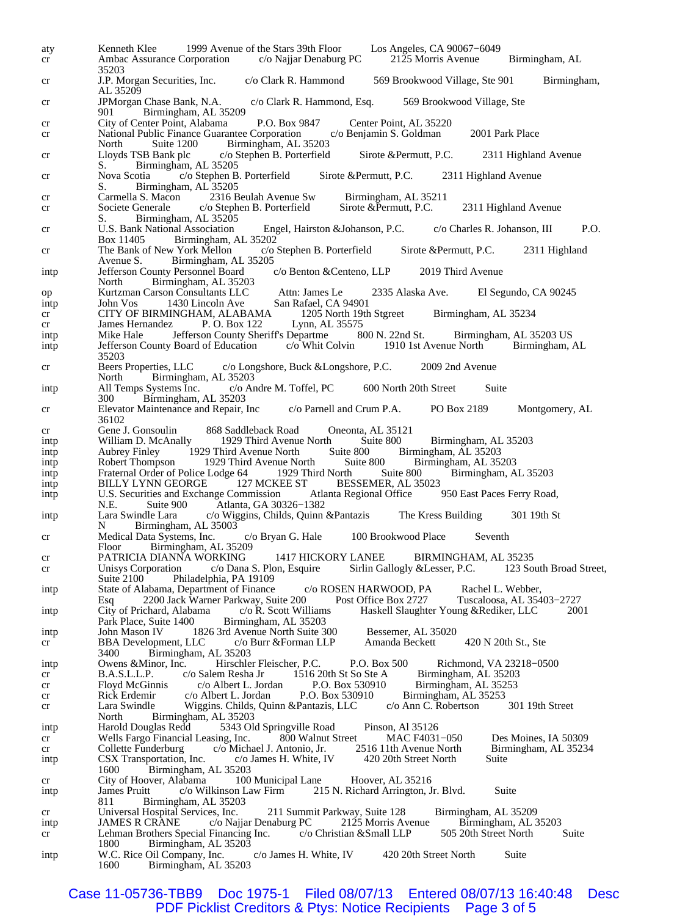aty Kenneth Klee 1999 Avenue of the Stars 39th Floor Los Angeles, CA 90067−6049 cr Ambac Assurance Corporation c/o Najjar Denaburg PC 2125 Morris Avenue Birmingham, AL 35203<br>J.P. Morgan Securities, Inc. cr J.P. Morgan Securities, Inc. c/o Clark R. Hammond 569 Brookwood Village, Ste 901 Birmingham, AL 35209 cr JPMorgan Chase Bank, N.A. c/o Clark R. Hammond, Esq. 569 Brookwood Village, Ste Birmingham, AL 35209 cr City of Center Point, Alabama P.O. Box 9847 Center Point, AL 35220<br>Cr National Public Finance Guarantee Corporation c/o Benjamin S. Goldman cr National Public Finance Guarantee Corporation c/o Benjamin S. Goldman 2001 Park Place North Suite 1200 Birmingham, AL 35203<br>Lloyds TSB Bank plc c/o Stephen B. Porterfield cr Lloyds TSB Bank plc c/o Stephen B. Porterfield Sirote &Permutt, P.C. 2311 Highland Avenue S. Birmingham, AL 35205<br>Nova Scotia c/o Stephen B cr Nova Scotia c/o Stephen B. Porterfield Sirote &Permutt, P.C. 2311 Highland Avenue S. Birmingham, AL 35205 cr Carmella S. Macon 2316 Beulah Avenue Sw Birmingham, AL 35211<br>cr Societe Generale c/o Stephen B. Porterfield Sirote & Permutt, P.C. cr Societe Generale c/o Stephen B. Porterfield Sirote &Permutt, P.C. 2311 Highland Avenue Birmingham, AL 35205 cr U.S. Bank National Association Engel, Hairston &Johanson, P.C. c/o Charles R. Johanson, III P.O. Birmingham, AL  $35202$ <br>
V York Mellon c/o Stephen B. Porterfield cr The Bank of New York Mellon c/o Stephen B. Porterfield Sirote &Permutt, P.C. 2311 Highland Avenue S. Birmingham, AL 35205<br>Jefferson County Personnel Board c/o Benton & Centeno, LLP intp Jefferson County Personnel Board c/o Benton &Centeno, LLP 2019 Third Avenue North Birmingham, AL 35203 op Kurtzman Carson Consultants LLC Attn: James Le 2335 Alaska Ave. El Segundo, CA 90245 intp John Vos 1430 Lincoln Ave San Rafael, CA 94901<br>cr CITY OF BIRMINGHAM, ALABAMA 1205 North 19th Stgreet cr CITY OF BIRMINGHAM, ALABAMA 1205 North 19th Stgreet Birmingham, AL 35234<br>cr James Hernandez P. O. Box 122 Lynn, AL 35575 cr James Hernandez P. O. Box 122 Lynn, AL 35575<br>intp Mike Hale Jefferson County Sheriff's Departme 800 N. 22nd St. intp Mike Hale Jefferson County Sheriff's Departme 800 N. 22nd St. Birmingham, AL 35203 US<br>intp Jefferson County Board of Education c/o Whit Colvin 1910 1st Avenue North Birmingham, AL intp Jefferson County Board of Education 35203<br>Beers Properties, LLC cr Beers Properties, LLC c/o Longshore, Buck &Longshore, P.C. 2009 2nd Avenue North Birmingham, AL 35203<br>All Temps Systems Inc. c/o Andre M. Toffel, PC intp All Temps Systems Inc. c/o Andre M. Toffel, PC 600 North 20th Street Suite<br>300 Birmingham, AL 35203 Birmingham, AL 35203 cr Elevator Maintenance and Repair, Inc c/o Parnell and Crum P.A. PO Box 2189 Montgomery, AL 36102<br>Gene J. Gonsoulin cr Gene J. Gonsoulin 868 Saddleback Road Oneonta, AL 35121<br>intp William D. McAnally 1929 Third Avenue North Suite 800 intp William D. McAnally 1929 Third Avenue North Suite 800 Birmingham, AL 35203<br>intp Aubrey Finley 1929 Third Avenue North Suite 800 Birmingham, AL 35203 inte Avenue North Suite 800 Birmingham, AL 35203<br>1929 Third Avenue North Suite 800 Birmingham, AL 35203 intp Robert Thompson 1929 Third Avenue North Suite 800 Birmingham, AL 35203<br>intp Fraternal Order of Police Lodge 64 1929 Third North Suite 800 Birmingham, AL 35203 intp Fraternal Order of Police Lodge 64 1929 Third North Suite 800<br>intp BILLY LYNN GEORGE 127 MCKEE ST BESSEMER, AL 35023 intp BILLY LYNN GEORGE 127 MCKEE ST BESSEMER, AL 35023<br>intp U.S. Securities and Exchange Commission Atlanta Regional Office 950 East Paces Ferry Road, U.S. Securities and Exchange Commission N.E. Suite 900 Atlanta, GA 30326-1382<br>Lara Swindle Lara c/o Wiggins, Childs, Quinn intp Lara Swindle Lara c/o Wiggins, Childs, Quinn &Pantazis The Kress Building 301 19th St Birmingham, AL 35003 cr Medical Data Systems, Inc. c/o Bryan G. Hale 100 Brookwood Place Seventh Floor Birmingham, AL 35209 cr PATRICIA DIANNA WORKING 1417 HICKORY LANEE BIRMINGHAM, AL 35235<br>cr Unisys Corporation c/o Dana S. Plon, Esquire Sirlin Gallogly & Lesser, P.C. 123 South Broad Street, cr Unisys Corporation c/o Dana S. Plon, Esquire Sirlin Gallogly & Lesser, P.C. Suite 2100 Philadelphia, PA 19109 intp State of Alabama, Department of Finance c/o ROSEN HARWOOD, PA Rachel L. Webber,<br>Esq 2200 Jack Warner Parkway, Suite 200 Post Office Box 2727 Tuscaloosa, AL 35403-2727 Esq 2200 Jack Warner Parkway, Suite 200 Post Office Box 2727 Tuscaloosa, AL 35403−2727 intp City of Prichard, Alabama c/o R. Scott Williams Haskell Slaughter Young &Rediker, LLC<br>Park Place, Suite 1400 Birmingham, AL 35203 Park Place, Suite 1400 Birmingham, AL 35203 intp John Mason IV 1826 3rd Avenue North Suite 300 Bessemer, AL 35020 cr BBA Development, LLC c/o Burr & Forman LLP Amanda Beckett 420 N 20th St., Ste 3400 Birmingham. AL 35203 3400 Birmingham, AL 35203<br>Owens & Minor, Inc. Hirschle intp Owens &Minor, Inc. Hirschler Fleischer, P.C. P.O. Box 500 Richmond, VA 23218−0500 cr B.A.S.L.L.P. c/o Salem Resha Jr 1516 20th St So Ste A Birmingham, AL 35203<br>cr Floyd McGinnis c/o Albert L. Jordan P.O. Box 530910 Birmingham, AL 35253 cr Floyd McGinnis c/o Albert L. Jordan P.O. Box 530910 Birmingham, AL 35253<br>cr Rick Erdemir c/o Albert L. Jordan P.O. Box 530910 Birmingham, AL 35253 cr Rick Erdemir c/o Albert L. Jordan P.O. Box 530910 Birmingham, AL 35253<br>cr Lara Swindle Wiggins. Childs, Quinn & Pantazis, LLC c/o Ann C. Robertson 301 19th Street cr Lara Swindle Wiggins. Childs, Quinn &Pantazis, LLC<br>North Birmingham, AL 35203 Birmingham, AL 35203 intp Harold Douglas Redd 5343 Old Springville Road Pinson, Al 35126<br>cr Wells Fargo Financial Leasing, Inc. 800 Walnut Street MAC F4031-050 cr Wells Fargo Financial Leasing, Inc. 800 Walnut Street MAC F4031–050 Des Moines, IA 50309<br>cr Collette Funderburg c/o Michael J. Antonio, Jr. 2516 11th Avenue North Birmingham, AL 35234 cr Collette Funderburg c/o Michael J. Antonio, Jr. intp CSX Transportation, Inc. c/o James H. White, IV 420 20th Street North Suite 1600 Birmingham, AL 35203 Birmingham, AL 35203<br>over, Alabama 100 Municipal Lane cr City of Hoover, Alabama 100 Municipal Lane Hoover, AL 35216 intp James Pruitt c/o Wilkinson Law Firm 215 N. Richard Arrington, Jr. Blvd. Suite 811 Birmingham, AL 35203<br>Universal Hospital Services, Inc. cr Universal Hospital Services, Inc. 211 Summit Parkway, Suite 128 Birmingham, AL 35209 intp JAMES R CRÂNE c/o Najjar Denaburg PC 2125 Morris Avenue Birmingham, AL 35203<br>cr Lehman Brothers Special Financing Inc. c/o Christian & Small LLP 505 20th Street North Suite cr Lehman Brothers Special Financing Inc. 1800 Birmingham, AL 35203<br>W.C. Rice Oil Company, Inc. c/o James H. White, IV intp W.C. Rice Oil Company, Inc. c/o James H. White, IV 420 20th Street North Suite<br>1600 Birmingham AL 35203 Birmingham, AL 35203

Case 11-05736-TBB9 Doc 1975-1 Filed 08/07/13 Entered 08/07/13 16:40:48 Desc PDF Picklist Creditors & Ptys: Notice Recipients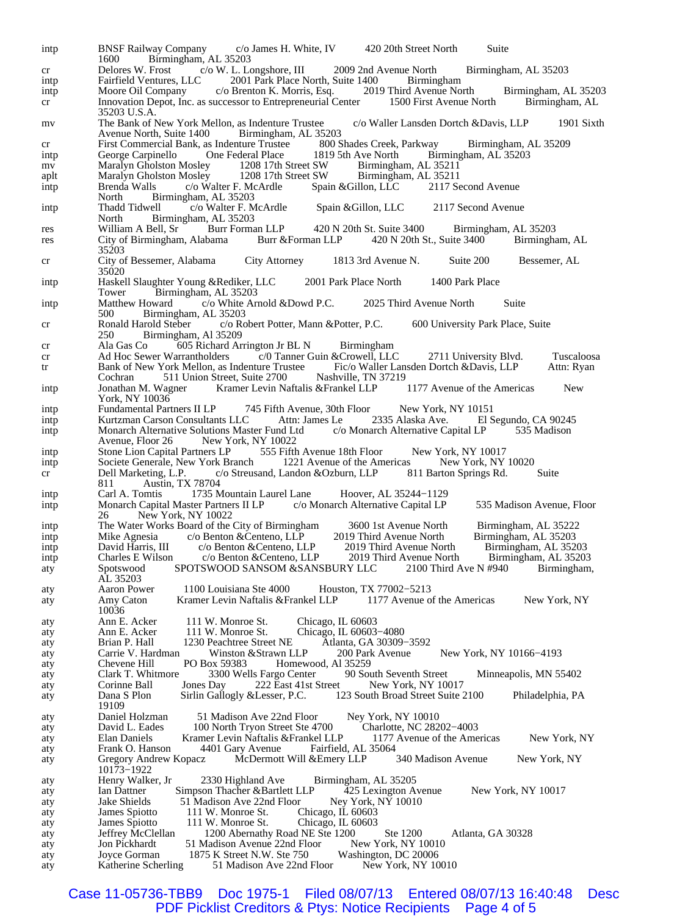intp BNSF Railway Company c/o James H. White, IV 420 20th Street North Suite 1600 Birmingham, AL 35203 1600 Birmingham, AL 35203<br>Delores W. Frost c/o W. L. Lo cr Delores W. Frost c/o W. L. Longshore, III 2009 2nd Avenue North Birmingham, AL 35203<br>intp Fairfield Ventures, LLC 2001 Park Place North, Suite 1400 Birmingham intp Fairfield Ventures, LLC 2001 Park Place North, Suite 1400 Birmingham<br>intp Moore Oil Company c/o Brenton K. Morris, Esq. 2019 Third Avenue North intp Moore Oil Company c/o Brenton K. Morris, Esq. 2019 Third Avenue North Birmingham, AL 35203<br>cr Innovation Depot, Inc. as successor to Entrepreneurial Center 1500 First Avenue North Birmingham, AL cr Innovation Depot, Inc. as successor to Entrepreneurial Center 35203 U.S.A. mv The Bank of New York Mellon, as Indenture Trustee c/o Waller Lansden Dortch &Davis, LLP 1901 Sixth<br>Avenue North, Suite 1400 Birmingham, AL 35203 Avenue North, Suite 1400 Birmingham, AL 35203<br>First Commercial Bank, as Indenture Trustee 800 Shades Creek, Parkway cr First Commercial Bank, as Indenture Trustee 800 Shades Creek, Parkway Birmingham, AL 35209 intp George Carpinello One Federal Place 1819 5th Ave North Birmingham, AL 35203 mv Maralyn Gholston Mosley 1208 17th Street SW Birmingham, AL 35211 mv Maralyn Gholston Mosley 1208 17th Street SW Birmingham, AL 35211<br>aplt Maralyn Gholston Mosley 1208 17th Street SW Birmingham, AL 35211 aplt Maralyn Gholston Mosley 1208 17th Street SW Birmingham, AL 35211<br>intp Brenda Walls c/o Walter F. McArdle Spain & Gillon, LLC 2117 Second Avenue intp Brenda Walls c/o Walter F. McArdle North Birmingham, AL 35203<br>Thadd Tidwell c/o Walter F. M intp Thadd Tidwell c/o Walter F. McArdle Spain &Gillon, LLC 2117 Second Avenue North Birmingham, AL 35203<br>William A Bell, Sr Burr Forman LLP res William A Bell, Sr Burr Forman LLP 420 N 20th St. Suite 3400 Birmingham, AL 35203<br>
res City of Birmingham, Alabama Burr & Forman LLP 420 N 20th St., Suite 3400 Birmingham, AL res City of Birmingham, Alabama 35203 cr City of Bessemer, Alabama City Attorney 1813 3rd Avenue N. Suite 200 Bessemer, AL 35020 intp Haskell Slaughter Young &Rediker, LLC 2001 Park Place North 1400 Park Place Tower Birmingham, AL 35203<br>Matthew Howard c/o White Ar intp Matthew Howard c/o White Arnold &Dowd P.C. 2025 Third Avenue North Suite 500 Birmingham, AL 35203<br>Ronald Harold Steber c/o Ro cr Ronald Harold Steber c/o Robert Potter, Mann &Potter, P.C. 600 University Park Place, Suite 250 Birmingham, Al 35209<br>Ala Gas Co 605 Richard Ar cr Ala Gas Co 605 Richard Arrington Jr BL N Birmingham<br>cr Ad Hoc Sewer Warrantholders c/0 Tanner Guin & Crowell, LLC cr Ad Hoc Sewer Warrantholders c/0 Tanner Guin & Crowell, LLC 2711 University Blvd. Tuscaloosa<br>tr Bank of New York Mellon, as Indenture Trustee Fic/o Waller Lansden Dortch & Davis, LLP Attn: Ryan tr Bank of New York Mellon, as Indenture Trustee Cochran 511 Union Street, Suite 2700 Nashville, TN 37219<br>
Jonathan M. Wagner Kramer Levin Naftalis & Frankel LLP 1177 Avenue of the Americas intp Jonathan M. Wagner Kramer Levin Naftalis &Frankel LLP 1177 Avenue of the Americas New York, NY 10036 intp Fundamental Partners II LP 745 Fifth Avenue, 30th Floor New York, NY 10151<br>
intp Kurtzman Carson Consultants LLC Attn: James Le 2335 Alaska Ave. El Segundo, CA 90245 intp Kurtzman Carson Consultants LLC Attn: James Le 2335 Alaska Ave. El Segundo, CA 9024:<br>
Monarch Alternative Solutions Master Fund Ltd c/o Monarch Alternative Capital LP 535 Madison intp Monarch Alternative Solutions Master Fund Ltd Avenue, Floor 26 New York, NY 10022<br>Stone Lion Capital Partners LP 555 Fifth intp Stone Lion Capital Partners LP 555 Fifth Avenue 18th Floor New York, NY 10017<br>
intp Societe Generale, New York Branch 1221 Avenue of the Americas New York, NY 10020 intp Societe Generale, New York Branch 1221 Avenue of the Americas New York, NY 1 Concrete Cenerale, New York, NY 1 Concrete Concrete Concrete Concrete Concrete Concrete Concrete Concrete Concrete Concrete Concrete Concret cr Dell Marketing, L.P. c/o Streusand, Landon &Ozburn, LLP 811 Barton Springs Rd. Suite 811 Austin, TX 78704<br>Carl A. Tomtis 1735 M intp Carl A. Tomtis 1735 Mountain Laurel Lane Hoover, AL 35244−1129 intp Monarch Capital Master Partners II LP c/o Monarch Alternative Capital LP 535 Madison Avenue, Floor 26 New York, NY 10022 intp The Water Works Board of the City of Birmingham 3600 1st Avenue North Birmingham, AL 35222 intp Mike Agnesia c/o Benton & Centeno, LLP 2019 Third Avenue North Birmingham, AL 35203<br>intp David Harris, III c/o Benton & Centeno, LLP 2019 Third Avenue North Birmingham, AL 35203 David Harris, III c/o Benton &Centeno, LLP 2019 Third Avenue North Birmingham, AL 35203<br>Charles E Wilson c/o Benton &Centeno, LLP 2019 Third Avenue North Birmingham, AL 35203 intp Charles E Wilson c/o Benton &Centeno, LLP 2019 Third Avenue North Birmingham, AL 35203<br>spotswood SPOTSWOOD SANSOM &SANSBURY LLC 2100 Third Ave N #940 Birmingham, aty Spotswood SPOTSWOOD SANSOM &SANSBURY LLC AL 35203<br>Aaron Power aty Aaron Power 1100 Louisiana Ste 4000 Houston, TX 77002−5213 aty Amy Caton Kramer Levin Naftalis &Frankel LLP 1177 Avenue of the Americas New York, NY 10036 aty Ann E. Acker 111 W. Monroe St. Chicago, IL 60603<br>aty Ann E. Acker 111 W. Monroe St. Chicago, IL 60603 aty Ann E. Acker 111 W. Monroe St. Chicago, IL 60603–4080<br>aty Brian P. Hall 1230 Peachtree Street NE Atlanta, GA 30309aty Brian P. Hall 1230 Peachtree Street NE Atlanta, GA 30309–3592<br>aty Carrie V. Hardman Winston & Strawn LLP 200 Park Avenue Carrie V. Hardman Winston &Strawn LLP 200 Park Avenue New York, NY 10166–4193<br>Chevene Hill PO Box 59383 Homewood, Al 35259 aty Chevene Hill PO Box 59383 Homewood, Al 35259<br>
clark T. Whitmore 3300 Wells Fargo Center 90 South Seventh Street aty Clark T. Whitmore 3300 Wells Fargo Center 90 South Seventh Street Minneapolis, MN 55402<br>aty Corinne Ball Jones Day 222 East 41st Street New York, NY 10017 aty Corinne Ball Jones Day 222 East 41st Street New York, NY 10017<br>
aty Dana S Plon Sirlin Gallogly & Lesser, P.C. 123 South Broad Street Suite aty Dana S Plon Sirlin Gallogly &Lesser, P.C. 123 South Broad Street Suite 2100 Philadelphia, PA 19109<br>Daniel Holzman aty Daniel Holzman 51 Madison Ave 22nd Floor Ney York, NY 10010<br>aty David L. Eades 100 North Tryon Street Ste 4700 Charlotte, NC 28202-4003 aty David L. Eades 100 North Tryon Street Ste 4700 Charlotte, NC 28202–4003<br>aty Elan Daniels Kramer Levin Naftalis & Frankel LLP 1177 Avenue of the Americas aty Elan Daniels Kramer Levin Naftalis & Frankel LLP 1177 Avenue of the Americas New York, NY<br>aty Frank O. Hanson 4401 Gary Avenue Fairfield, AL 35064 aty Frank O. Hanson 4401 Gary Avenue aty Gregory Andrew Kopacz McDermott Will &Emery LLP 340 Madison Avenue New York, NY 10173–1922<br>Henry Walker, Jr aty Frenry Walker, Jr 2330 Highland Ave Birmingham, AL 35205<br>aty Ian Dattner Simpson Thacher & Bartlett LLP 425 Lexington Avenue aty Ian Dattner Simpson Thacher &Bartlett LLP 425 Lexington Avenue New York, NY 10017 aty Jake Shields 51 Madison Ave 22nd Floor Ney York, NY 10010<br>aty James Spiotto 111 W. Monroe St. Chicago, IL 60603 111 W. Monroe St. aty James Spiotto 111 W. Monroe St. Chicago, IL 60603<br>aty Jeffrey McClellan 1200 Abernathy Road NE Ste 1200 aty Jeffrey McClellan 1200 Abernathy Road NE Ste 1200 Ste 1200 Atlanta, GA 30328<br>dty Jon Pickhardt 51 Madison Avenue 22nd Floor New York, NY 10010 aty Jon Pickhardt 51 Madison Avenue 22nd Floor New York, NY 1001<br>aty Joyce Gorman 1875 K Street N.W. Ste 750 Washington, DC 20006 aty Joyce Gorman 1875 K Street N.W. Ste 750 Washington, DC 20006<br>aty Katherine Scherling 51 Madison Ave 22nd Floor New York, NY 10010 aty Katherine Scherling 51 Madison Ave 22nd Floor

Case 11-05736-TBB9 Doc 1975-1 Filed 08/07/13 Entered 08/07/13 16:40:48 Desc PDF Picklist Creditors & Ptys: Notice Recipients Page 4 of 5